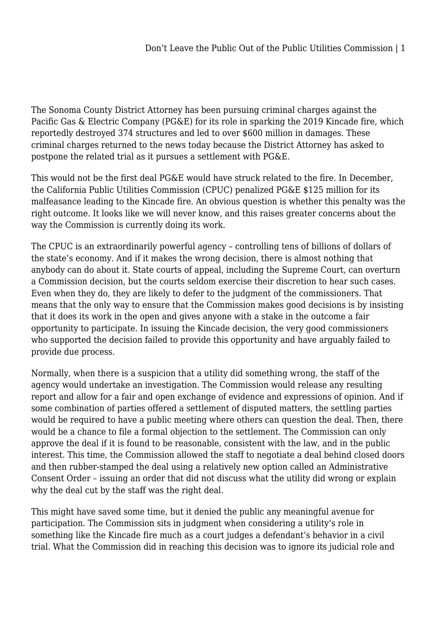The Sonoma County District Attorney has been pursuing criminal charges against the Pacific Gas & Electric Company (PG&E) for its role in sparking the 2019 Kincade fire, which reportedly destroyed 374 structures and led to over \$600 million in damages. These criminal charges returned to the news today because the District Attorney has asked to postpone the related trial as it pursues a settlement with PG&E.

This would not be the first deal PG&E would have struck related to the fire. In December, the California Public Utilities Commission (CPUC) penalized PG&E \$125 million for its malfeasance leading to the Kincade fire. An obvious question is whether this penalty was the right outcome. It looks like we will never know, and this raises greater concerns about the way the Commission is currently doing its work.

The CPUC is an extraordinarily powerful agency – controlling tens of billions of dollars of the state's economy. And if it makes the wrong decision, there is almost nothing that anybody can do about it. State courts of appeal, including the Supreme Court, can overturn a Commission decision, but the courts seldom exercise their discretion to hear such cases. Even when they do, they are likely to defer to the judgment of the commissioners. That means that the only way to ensure that the Commission makes good decisions is by insisting that it does its work in the open and gives anyone with a stake in the outcome a fair opportunity to participate. In issuing the Kincade decision, the very good commissioners who supported the decision failed to provide this opportunity and have arguably failed to provide due process.

Normally, when there is a suspicion that a utility did something wrong, the staff of the agency would undertake an investigation. The Commission would release any resulting report and allow for a fair and open exchange of evidence and expressions of opinion. And if some combination of parties offered a settlement of disputed matters, the settling parties would be required to have a public meeting where others can question the deal. Then, there would be a chance to file a formal objection to the settlement. The Commission can only approve the deal if it is found to be reasonable, consistent with the law, and in the public interest. This time, the Commission allowed the staff to negotiate a deal behind closed doors and then rubber-stamped the deal using a relatively new option called an Administrative Consent Order – issuing an order that did not discuss what the utility did wrong or explain why the deal cut by the staff was the right deal.

This might have saved some time, but it denied the public any meaningful avenue for participation. The Commission sits in judgment when considering a utility's role in something like the Kincade fire much as a court judges a defendant's behavior in a civil trial. What the Commission did in reaching this decision was to ignore its judicial role and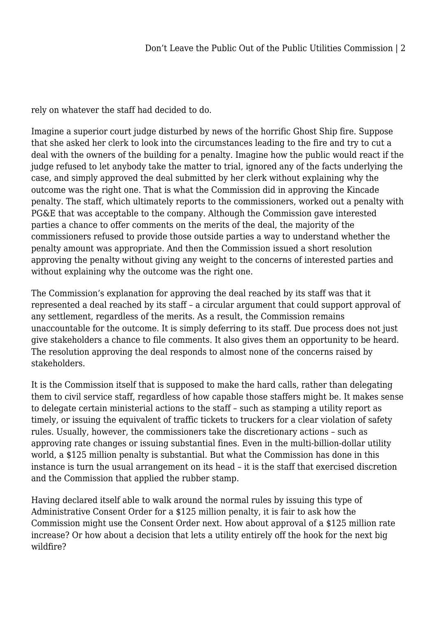rely on whatever the staff had decided to do.

Imagine a superior court judge disturbed by news of the horrific Ghost Ship fire. Suppose that she asked her clerk to look into the circumstances leading to the fire and try to cut a deal with the owners of the building for a penalty. Imagine how the public would react if the judge refused to let anybody take the matter to trial, ignored any of the facts underlying the case, and simply approved the deal submitted by her clerk without explaining why the outcome was the right one. That is what the Commission did in approving the Kincade penalty. The staff, which ultimately reports to the commissioners, worked out a penalty with PG&E that was acceptable to the company. Although the Commission gave interested parties a chance to offer comments on the merits of the deal, the majority of the commissioners refused to provide those outside parties a way to understand whether the penalty amount was appropriate. And then the Commission issued a short resolution approving the penalty without giving any weight to the concerns of interested parties and without explaining why the outcome was the right one.

The Commission's explanation for approving the deal reached by its staff was that it represented a deal reached by its staff – a circular argument that could support approval of any settlement, regardless of the merits. As a result, the Commission remains unaccountable for the outcome. It is simply deferring to its staff. Due process does not just give stakeholders a chance to file comments. It also gives them an opportunity to be heard. The resolution approving the deal responds to almost none of the concerns raised by stakeholders.

It is the Commission itself that is supposed to make the hard calls, rather than delegating them to civil service staff, regardless of how capable those staffers might be. It makes sense to delegate certain ministerial actions to the staff – such as stamping a utility report as timely, or issuing the equivalent of traffic tickets to truckers for a clear violation of safety rules. Usually, however, the commissioners take the discretionary actions – such as approving rate changes or issuing substantial fines. Even in the multi-billion-dollar utility world, a \$125 million penalty is substantial. But what the Commission has done in this instance is turn the usual arrangement on its head – it is the staff that exercised discretion and the Commission that applied the rubber stamp.

Having declared itself able to walk around the normal rules by issuing this type of Administrative Consent Order for a \$125 million penalty, it is fair to ask how the Commission might use the Consent Order next. How about approval of a \$125 million rate increase? Or how about a decision that lets a utility entirely off the hook for the next big wildfire?